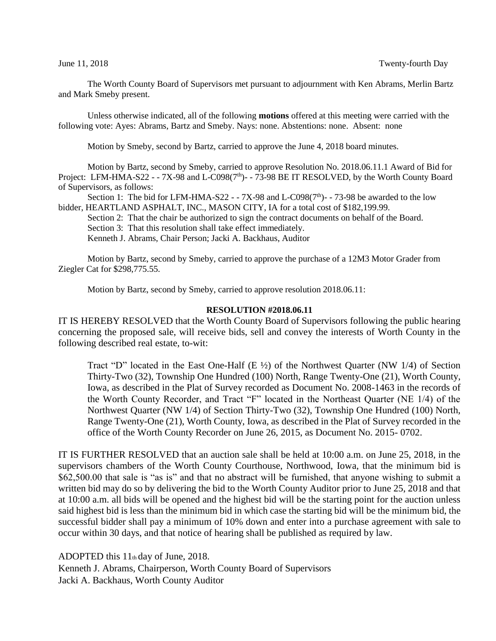The Worth County Board of Supervisors met pursuant to adjournment with Ken Abrams, Merlin Bartz and Mark Smeby present.

Unless otherwise indicated, all of the following **motions** offered at this meeting were carried with the following vote: Ayes: Abrams, Bartz and Smeby. Nays: none. Abstentions: none. Absent: none

Motion by Smeby, second by Bartz, carried to approve the June 4, 2018 board minutes.

Motion by Bartz, second by Smeby, carried to approve Resolution No. 2018.06.11.1 Award of Bid for Project: LFM-HMA-S22 -  $-7X-98$  and L-C098( $7<sup>th</sup>$ ) -  $-73-98$  BE IT RESOLVED, by the Worth County Board of Supervisors, as follows:

Section 1: The bid for LFM-HMA-S22 -  $-7X$ -98 and L-C098(7<sup>th</sup>)-  $-73$ -98 be awarded to the low bidder, HEARTLAND ASPHALT, INC., MASON CITY, IA for a total cost of \$182,199.99.

Section 2: That the chair be authorized to sign the contract documents on behalf of the Board.

Section 3: That this resolution shall take effect immediately.

Kenneth J. Abrams, Chair Person; Jacki A. Backhaus, Auditor

Motion by Bartz, second by Smeby, carried to approve the purchase of a 12M3 Motor Grader from Ziegler Cat for \$298,775.55.

Motion by Bartz, second by Smeby, carried to approve resolution 2018.06.11:

## **RESOLUTION #2018.06.11**

IT IS HEREBY RESOLVED that the Worth County Board of Supervisors following the public hearing concerning the proposed sale, will receive bids, sell and convey the interests of Worth County in the following described real estate, to-wit:

Tract "D" located in the East One-Half (E ½) of the Northwest Quarter (NW 1/4) of Section Thirty-Two (32), Township One Hundred (100) North, Range Twenty-One (21), Worth County, Iowa, as described in the Plat of Survey recorded as Document No. 2008-1463 in the records of the Worth County Recorder, and Tract "F" located in the Northeast Quarter (NE 1/4) of the Northwest Quarter (NW 1/4) of Section Thirty-Two (32), Township One Hundred (100) North, Range Twenty-One (21), Worth County, Iowa, as described in the Plat of Survey recorded in the office of the Worth County Recorder on June 26, 2015, as Document No. 2015- 0702.

IT IS FURTHER RESOLVED that an auction sale shall be held at 10:00 a.m. on June 25, 2018, in the supervisors chambers of the Worth County Courthouse, Northwood, Iowa, that the minimum bid is \$62,500.00 that sale is "as is" and that no abstract will be furnished, that anyone wishing to submit a written bid may do so by delivering the bid to the Worth County Auditor prior to June 25, 2018 and that at 10:00 a.m. all bids will be opened and the highest bid will be the starting point for the auction unless said highest bid is less than the minimum bid in which case the starting bid will be the minimum bid, the successful bidder shall pay a minimum of 10% down and enter into a purchase agreement with sale to occur within 30 days, and that notice of hearing shall be published as required by law.

ADOPTED this 11th day of June, 2018. Kenneth J. Abrams, Chairperson, Worth County Board of Supervisors Jacki A. Backhaus, Worth County Auditor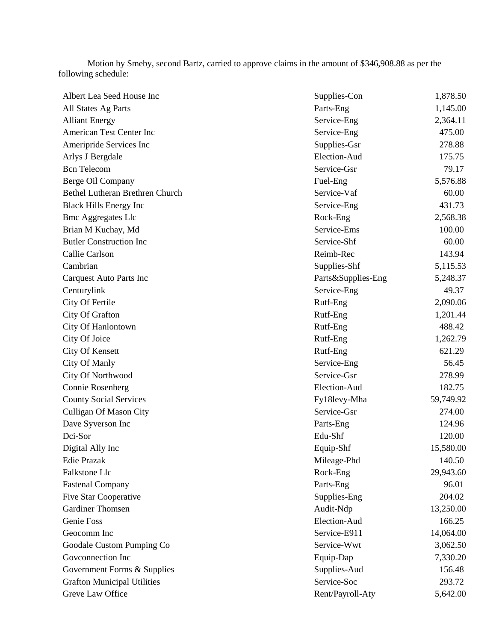Motion by Smeby, second Bartz, carried to approve claims in the amount of \$346,908.88 as per the following schedule:

| Albert Lea Seed House Inc          | Supplies-Con       | 1,878.50  |
|------------------------------------|--------------------|-----------|
| All States Ag Parts                | Parts-Eng          | 1,145.00  |
| <b>Alliant Energy</b>              | Service-Eng        | 2,364.11  |
| American Test Center Inc           | Service-Eng        | 475.00    |
| Ameripride Services Inc            | Supplies-Gsr       | 278.88    |
| Arlys J Bergdale                   | Election-Aud       | 175.75    |
| <b>Bcn</b> Telecom                 | Service-Gsr        | 79.17     |
| Berge Oil Company                  | Fuel-Eng           | 5,576.88  |
| Bethel Lutheran Brethren Church    | Service-Vaf        | 60.00     |
| <b>Black Hills Energy Inc</b>      | Service-Eng        | 431.73    |
| <b>Bmc Aggregates Llc</b>          | Rock-Eng           | 2,568.38  |
| Brian M Kuchay, Md                 | Service-Ems        | 100.00    |
| <b>Butler Construction Inc</b>     | Service-Shf        | 60.00     |
| Callie Carlson                     | Reimb-Rec          | 143.94    |
| Cambrian                           | Supplies-Shf       | 5,115.53  |
| <b>Carquest Auto Parts Inc</b>     | Parts&Supplies-Eng | 5,248.37  |
| Centurylink                        | Service-Eng        | 49.37     |
| City Of Fertile                    | Rutf-Eng           | 2,090.06  |
| City Of Grafton                    | Rutf-Eng           | 1,201.44  |
| City Of Hanlontown                 | Rutf-Eng           | 488.42    |
| City Of Joice                      | Rutf-Eng           | 1,262.79  |
| <b>City Of Kensett</b>             | Rutf-Eng           | 621.29    |
| City Of Manly                      | Service-Eng        | 56.45     |
| City Of Northwood                  | Service-Gsr        | 278.99    |
| <b>Connie Rosenberg</b>            | Election-Aud       | 182.75    |
| <b>County Social Services</b>      | Fy18levy-Mha       | 59,749.92 |
| Culligan Of Mason City             | Service-Gsr        | 274.00    |
| Dave Syverson Inc                  | Parts-Eng          | 124.96    |
| Dci-Sor                            | Edu-Shf            | 120.00    |
| Digital Ally Inc                   | Equip-Shf          | 15,580.00 |
| <b>Edie Prazak</b>                 | Mileage-Phd        | 140.50    |
| Falkstone Llc                      | Rock-Eng           | 29,943.60 |
| <b>Fastenal Company</b>            | Parts-Eng          | 96.01     |
| <b>Five Star Cooperative</b>       | Supplies-Eng       | 204.02    |
| <b>Gardiner Thomsen</b>            | Audit-Ndp          | 13,250.00 |
| Genie Foss                         | Election-Aud       | 166.25    |
| Geocomm Inc                        | Service-E911       | 14,064.00 |
| Goodale Custom Pumping Co          | Service-Wwt        | 3,062.50  |
| Goveonnection Inc                  | Equip-Dap          | 7,330.20  |
| Government Forms & Supplies        | Supplies-Aud       | 156.48    |
| <b>Grafton Municipal Utilities</b> | Service-Soc        | 293.72    |
| Greve Law Office                   | Rent/Payroll-Aty   | 5,642.00  |
|                                    |                    |           |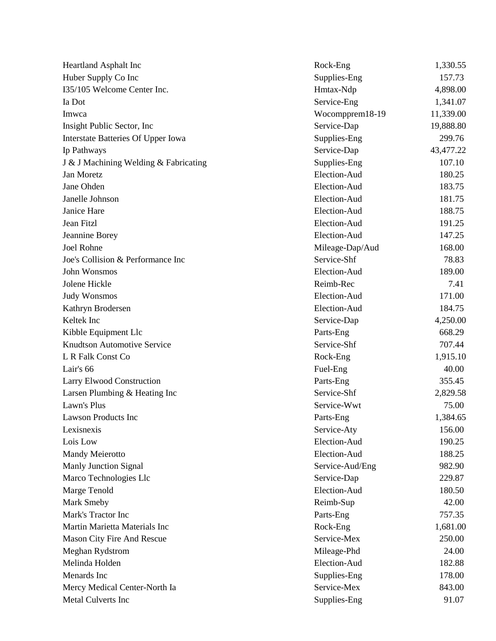| Heartland Asphalt Inc                 | Rock-Eng        | 1,330.55  |
|---------------------------------------|-----------------|-----------|
| Huber Supply Co Inc                   | Supplies-Eng    | 157.73    |
| I35/105 Welcome Center Inc.           | Hmtax-Ndp       | 4,898.00  |
| Ia Dot                                | Service-Eng     | 1,341.07  |
| Imwca                                 | Wocompprem18-19 | 11,339.00 |
| Insight Public Sector, Inc.           | Service-Dap     | 19,888.80 |
| Interstate Batteries Of Upper Iowa    | Supplies-Eng    | 299.76    |
| Ip Pathways                           | Service-Dap     | 43,477.22 |
| J & J Machining Welding & Fabricating | Supplies-Eng    | 107.10    |
| Jan Moretz                            | Election-Aud    | 180.25    |
| Jane Ohden                            | Election-Aud    | 183.75    |
| Janelle Johnson                       | Election-Aud    | 181.75    |
| Janice Hare                           | Election-Aud    | 188.75    |
| Jean Fitzl                            | Election-Aud    | 191.25    |
| Jeannine Borey                        | Election-Aud    | 147.25    |
| <b>Joel Rohne</b>                     | Mileage-Dap/Aud | 168.00    |
| Joe's Collision & Performance Inc     | Service-Shf     | 78.83     |
| John Wonsmos                          | Election-Aud    | 189.00    |
| Jolene Hickle                         | Reimb-Rec       | 7.41      |
| <b>Judy Wonsmos</b>                   | Election-Aud    | 171.00    |
| Kathryn Brodersen                     | Election-Aud    | 184.75    |
| Keltek Inc                            | Service-Dap     | 4,250.00  |
| Kibble Equipment Llc                  | Parts-Eng       | 668.29    |
| <b>Knudtson Automotive Service</b>    | Service-Shf     | 707.44    |
| L R Falk Const Co                     | Rock-Eng        | 1,915.10  |
| Lair's 66                             | Fuel-Eng        | 40.00     |
| Larry Elwood Construction             | Parts-Eng       | 355.45    |
| Larsen Plumbing & Heating Inc         | Service-Shf     | 2,829.58  |
| Lawn's Plus                           | Service-Wwt     | 75.00     |
| <b>Lawson Products Inc</b>            | Parts-Eng       | 1,384.65  |
| Lexisnexis                            | Service-Aty     | 156.00    |
| Lois Low                              | Election-Aud    | 190.25    |
| Mandy Meierotto                       | Election-Aud    | 188.25    |
| <b>Manly Junction Signal</b>          | Service-Aud/Eng | 982.90    |
| Marco Technologies Llc                | Service-Dap     | 229.87    |
| Marge Tenold                          | Election-Aud    | 180.50    |
| Mark Smeby                            | Reimb-Sup       | 42.00     |
| Mark's Tractor Inc                    | Parts-Eng       | 757.35    |
| Martin Marietta Materials Inc         | Rock-Eng        | 1,681.00  |
| Mason City Fire And Rescue            | Service-Mex     | 250.00    |
| Meghan Rydstrom                       | Mileage-Phd     | 24.00     |
| Melinda Holden                        | Election-Aud    | 182.88    |
| Menards Inc                           | Supplies-Eng    | 178.00    |
| Mercy Medical Center-North Ia         | Service-Mex     | 843.00    |
| Metal Culverts Inc                    | Supplies-Eng    | 91.07     |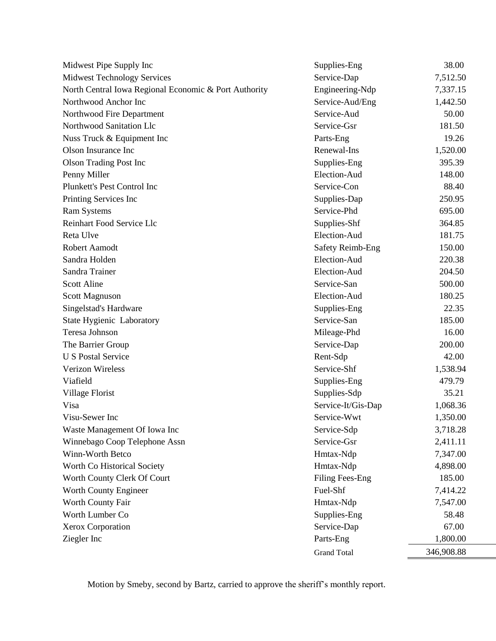| Midwest Pipe Supply Inc                               | Supplies-Eng            | 38.00      |
|-------------------------------------------------------|-------------------------|------------|
| <b>Midwest Technology Services</b>                    | Service-Dap             | 7,512.50   |
| North Central Iowa Regional Economic & Port Authority | Engineering-Ndp         | 7,337.15   |
| Northwood Anchor Inc                                  | Service-Aud/Eng         | 1,442.50   |
| Northwood Fire Department                             | Service-Aud             | 50.00      |
| Northwood Sanitation Llc                              | Service-Gsr             | 181.50     |
| Nuss Truck & Equipment Inc                            | Parts-Eng               | 19.26      |
| Olson Insurance Inc                                   | Renewal-Ins             | 1,520.00   |
| <b>Olson Trading Post Inc</b>                         | Supplies-Eng            | 395.39     |
| Penny Miller                                          | Election-Aud            | 148.00     |
| Plunkett's Pest Control Inc                           | Service-Con             | 88.40      |
| Printing Services Inc                                 | Supplies-Dap            | 250.95     |
| <b>Ram Systems</b>                                    | Service-Phd             | 695.00     |
| Reinhart Food Service Llc                             | Supplies-Shf            | 364.85     |
| Reta Ulve                                             | Election-Aud            | 181.75     |
| Robert Aamodt                                         | <b>Safety Reimb-Eng</b> | 150.00     |
| Sandra Holden                                         | Election-Aud            | 220.38     |
| Sandra Trainer                                        | Election-Aud            | 204.50     |
| Scott Aline                                           | Service-San             | 500.00     |
| Scott Magnuson                                        | Election-Aud            | 180.25     |
| Singelstad's Hardware                                 | Supplies-Eng            | 22.35      |
| State Hygienic Laboratory                             | Service-San             | 185.00     |
| Teresa Johnson                                        | Mileage-Phd             | 16.00      |
| The Barrier Group                                     | Service-Dap             | 200.00     |
| <b>U S Postal Service</b>                             | Rent-Sdp                | 42.00      |
| Verizon Wireless                                      | Service-Shf             | 1,538.94   |
| Viafield                                              | Supplies-Eng            | 479.79     |
| Village Florist                                       | Supplies-Sdp            | 35.21      |
| Visa                                                  | Service-It/Gis-Dap      | 1,068.36   |
| Visu-Sewer Inc                                        | Service-Wwt             | 1,350.00   |
| Waste Management Of Iowa Inc                          | Service-Sdp             | 3,718.28   |
| Winnebago Coop Telephone Assn                         | Service-Gsr             | 2,411.11   |
| Winn-Worth Betco                                      | Hmtax-Ndp               | 7,347.00   |
| Worth Co Historical Society                           | Hmtax-Ndp               | 4,898.00   |
| Worth County Clerk Of Court                           | Filing Fees-Eng         | 185.00     |
| Worth County Engineer                                 | Fuel-Shf                | 7,414.22   |
| Worth County Fair                                     | Hmtax-Ndp               | 7,547.00   |
| Worth Lumber Co                                       | Supplies-Eng            | 58.48      |
| Xerox Corporation                                     | Service-Dap             | 67.00      |
| Ziegler Inc                                           | Parts-Eng               | 1,800.00   |
|                                                       | <b>Grand Total</b>      | 346,908.88 |

Motion by Smeby, second by Bartz, carried to approve the sheriff's monthly report.